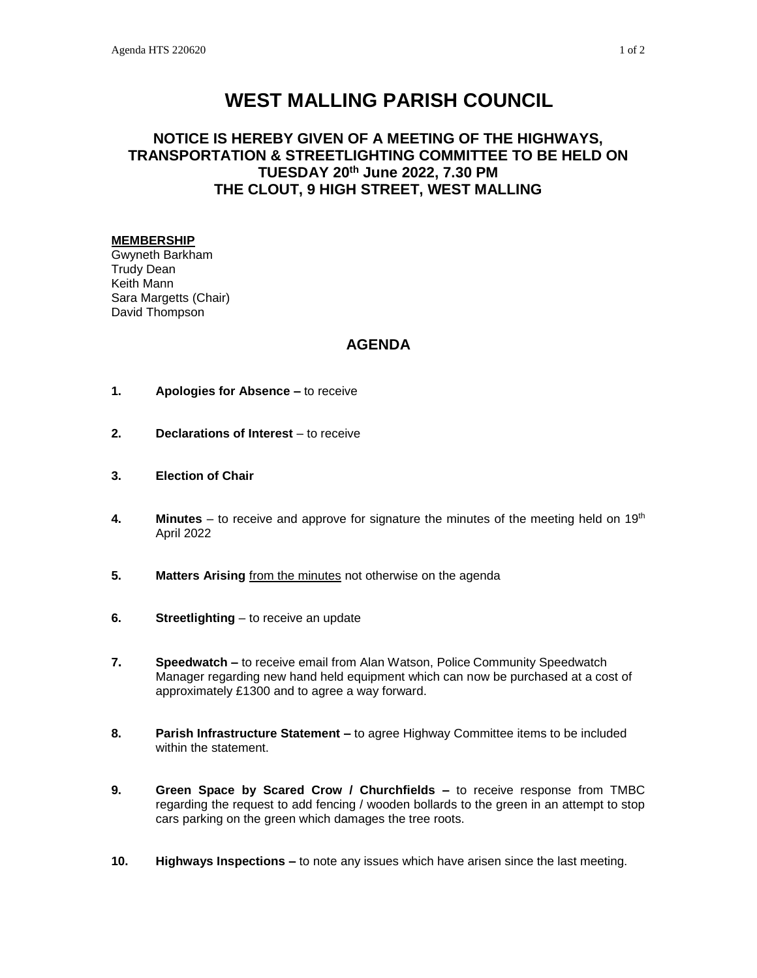## **WEST MALLING PARISH COUNCIL**

## **NOTICE IS HEREBY GIVEN OF A MEETING OF THE HIGHWAYS, TRANSPORTATION & STREETLIGHTING COMMITTEE TO BE HELD ON TUESDAY 20th June 2022, 7.30 PM THE CLOUT, 9 HIGH STREET, WEST MALLING**

## **MEMBERSHIP**

Gwyneth Barkham Trudy Dean Keith Mann Sara Margetts (Chair) David Thompson

## **AGENDA**

- **1. Apologies for Absence –** to receive
- **2. Declarations of Interest** to receive
- **3. Election of Chair**
- **4. Minutes**  to receive and approve for signature the minutes of the meeting held on 19th April 2022
- **5. Matters Arising** from the minutes not otherwise on the agenda
- **6. Streetlighting** to receive an update
- **7. Speedwatch –** to receive email from Alan Watson, Police Community Speedwatch Manager regarding new hand held equipment which can now be purchased at a cost of approximately £1300 and to agree a way forward.
- **8. Parish Infrastructure Statement –** to agree Highway Committee items to be included within the statement.
- **9. Green Space by Scared Crow / Churchfields –** to receive response from TMBC regarding the request to add fencing / wooden bollards to the green in an attempt to stop cars parking on the green which damages the tree roots.
- **10. Highways Inspections –** to note any issues which have arisen since the last meeting.